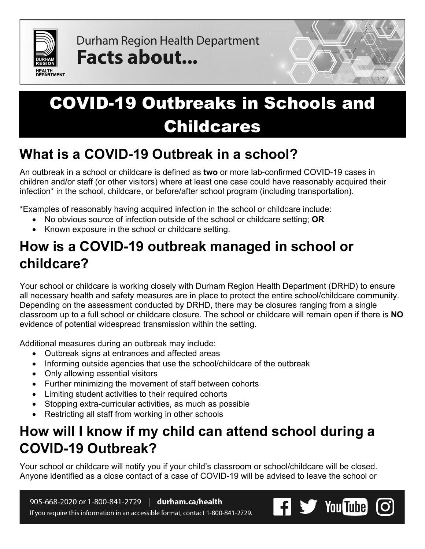

Durham Region Health Department Facts about...



## **What is a COVID-19 Outbreak in a school?**

An outbreak in a school or childcare is defined as **two** or more lab-confirmed COVID-19 cases in children and/or staff (or other visitors) where at least one case could have reasonably acquired their infection\* in the school, childcare, or before/after school program (including transportation).

\*Examples of reasonably having acquired infection in the school or childcare include:

- No obvious source of infection outside of the school or childcare setting; **OR**
- Known exposure in the school or childcare setting.

# **How is a COVID-19 outbreak managed in school or childcare?**

Your school or childcare is working closely with Durham Region Health Department (DRHD) to ensure all necessary health and safety measures are in place to protect the entire school/childcare community. Depending on the assessment conducted by DRHD, there may be closures ranging from a single classroom up to a full school or childcare closure. The school or childcare will remain open if there is **NO** evidence of potential widespread transmission within the setting.

Additional measures during an outbreak may include:

- Outbreak signs at entrances and affected areas
- Informing outside agencies that use the school/childcare of the outbreak
- Only allowing essential visitors
- Further minimizing the movement of staff between cohorts
- Limiting student activities to their required cohorts
- Stopping extra-curricular activities, as much as possible
- Restricting all staff from working in other schools

# **How will I know if my child can attend school during a COVID-19 Outbreak?**

Your school or childcare will notify you if your child's classroom or school/childcare will be closed. Anyone identified as a close contact of a case of COVID-19 will be advised to leave the school or

905-668-2020 or 1-800-841-2729 | durham.ca/health If you require this information in an accessible format, contact 1-800-841-2729.